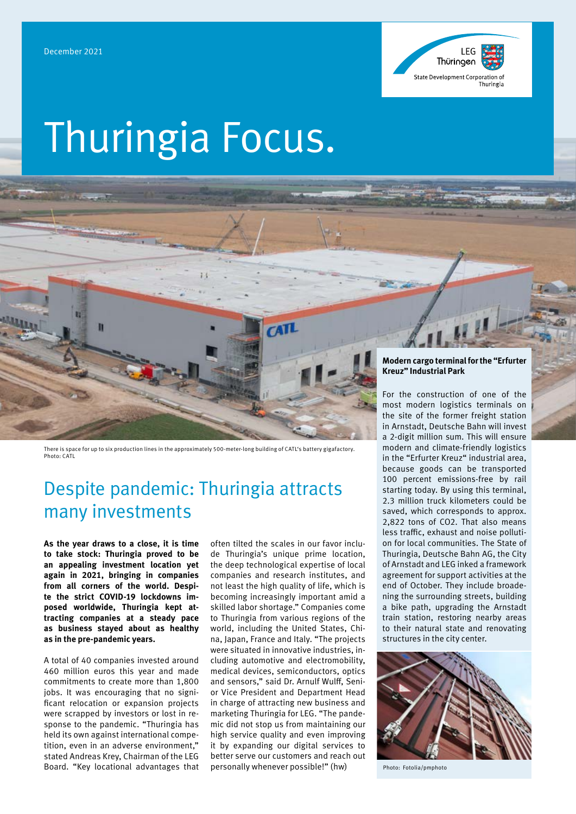

# Thuringia Focus.



There is space for up to six production lines in the approximately 500-meter-long building of CATL's battery gigafactory. Photo: CATL

# Despite pandemic: Thuringia attracts many investments

**As the year draws to a close, it is time to take stock: Thuringia proved to be an appealing investment location yet again in 2021, bringing in companies from all corners of the world. Despite the strict COVID-19 lockdowns imposed worldwide, Thuringia kept attracting companies at a steady pace as business stayed about as healthy as in the pre-pandemic years.**

A total of 40 companies invested around 460 million euros this year and made commitments to create more than 1,800 jobs. It was encouraging that no significant relocation or expansion projects were scrapped by investors or lost in response to the pandemic. "Thuringia has held its own against international competition, even in an adverse environment," stated Andreas Krey, Chairman of the LEG Board. "Key locational advantages that

often tilted the scales in our favor include Thuringia's unique prime location, the deep technological expertise of local companies and research institutes, and not least the high quality of life, which is becoming increasingly important amid a skilled labor shortage." Companies come to Thuringia from various regions of the world, including the United States, China, Japan, France and Italy. "The projects were situated in innovative industries, including automotive and electromobility, medical devices, semiconductors, optics and sensors," said Dr. Arnulf Wulff, Senior Vice President and Department Head in charge of attracting new business and marketing Thuringia for LEG. "The pandemic did not stop us from maintaining our high service quality and even improving it by expanding our digital services to better serve our customers and reach out personally whenever possible!" (hw)

#### **Modern cargo terminal for the "Erfurter Kreuz" Industrial Park**

For the construction of one of the most modern logistics terminals on the site of the former freight station in Arnstadt, Deutsche Bahn will invest a 2-digit million sum. This will ensure modern and climate-friendly logistics in the "Erfurter Kreuz" industrial area, because goods can be transported 100 percent emissions-free by rail starting today. By using this terminal, 2.3 million truck kilometers could be saved, which corresponds to approx. 2,822 tons of CO2. That also means less traffic, exhaust and noise pollution for local communities. The State of Thuringia, Deutsche Bahn AG, the City of Arnstadt and LEG inked a framework agreement for support activities at the end of October. They include broadening the surrounding streets, building a bike path, upgrading the Arnstadt train station, restoring nearby areas to their natural state and renovating structures in the city center.



Photo: Fotolia/pmphoto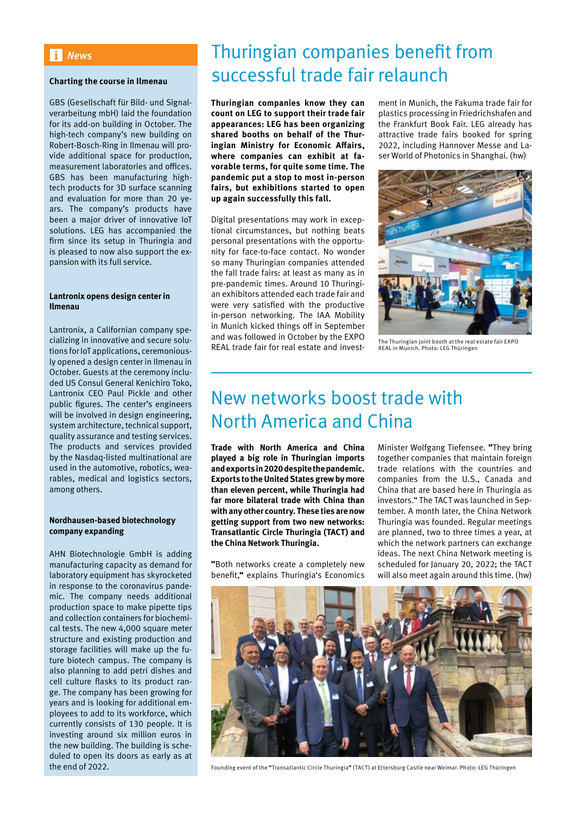# *News*

#### **Charting the course in Ilmenau**

GBS (Gesellschaft für Bild- und Signalverarbeitung mbH) laid the foundation for its add-on building in October. The high-tech company's new building on Robert-Bosch-Ring in Ilmenau will provide additional space for production, measurement laboratories and offices. GBS has been manufacturing hightech products for 3D surface scanning and evaluation for more than 20 years. The company's products have been a major driver of innovative IoT solutions. LEG has accompanied the firm since its setup in Thuringia and is pleased to now also support the expansion with its full service.

#### **Lantronix opens design center in Ilmenau**

Lantronix, a Californian company specializing in innovative and secure solutions for IoT applications, ceremoniously opened a design center in Ilmenau in October. Guests at the ceremony included US Consul General Kenichiro Toko, Lantronix CEO Paul Pickle and other public figures. The center's engineers will be involved in design engineering, system architecture, technical support, quality assurance and testing services. The products and services provided by the Nasdaq-listed multinational are used in the automotive, robotics, wearables, medical and logistics sectors, among others.

### **Nordhausen-based biotechnology company expanding**

AHN Biotechnologie GmbH is adding manufacturing capacity as demand for laboratory equipment has skyrocketed in response to the coronavirus pandemic. The company needs additional production space to make pipette tips and collection containers for biochemical tests. The new 4,000 square meter structure and existing production and storage facilities will make up the future biotech campus. The company is also planning to add petri dishes and cell culture flasks to its product range. The company has been growing for years and is looking for additional employees to add to its workforce, which currently consists of 130 people. It is investing around six million euros in the new building. The building is scheduled to open its doors as early as at the end of 2022.

# Thuringian companies benefit from successful trade fair relaunch

**Thuringian companies know they can count on LEG to support their trade fair appearances: LEG has been organizing shared booths on behalf of the Thuringian Ministry for Economic Affairs, where companies can exhibit at favorable terms, for quite some time. The pandemic put a stop to most in-person fairs, but exhibitions started to open up again successfully this fall.** 

Digital presentations may work in exceptional circumstances, but nothing beats personal presentations with the opportunity for face-to-face contact. No wonder so many Thuringian companies attended the fall trade fairs: at least as many as in pre-pandemic times. Around 10 Thuringian exhibitors attended each trade fair and were very satisfied with the productive in-person networking. The IAA Mobility in Munich kicked things off in September and was followed in October by the EXPO REAL trade fair for real estate and invest-

ment in Munich, the Fakuma trade fair for plastics processing in Friedrichshafen and the Frankfurt Book Fair. LEG already has attractive trade fairs booked for spring 2022, including Hannover Messe and Laser World of Photonics in Shanghai. (hw)



The Thuringian joint booth at the real estate fair EXPO REAL in Munich. Photo: LEG Thüringen

# New networks boost trade with North America and China

**Trade with North America and China played a big role in Thuringian imports and exports in 2020 despite the pandemic. Exports to the United States grew by more than eleven percent, while Thuringia had far more bilateral trade with China than with any other country. These ties are now getting support from two new networks: Transatlantic Circle Thuringia (TACT) and the China Network Thuringia.**

**"**Both networks create a completely new benefit,**"** explains Thuringia's Economics

Minister Wolfgang Tiefensee. **"**They bring together companies that maintain foreign trade relations with the countries and companies from the U.S., Canada and China that are based here in Thuringia as investors." The TACT was launched in September. A month later, the China Network Thuringia was founded. Regular meetings are planned, two to three times a year, at which the network partners can exchange ideas. The next China Network meeting is scheduled for January 20, 2022; the TACT will also meet again around this time. (hw)



Founding event of the **"**Transatlantic Circle Thuringia**"** (TACT) at Ettersburg Castle near Weimar. Photo: LEG Thüringen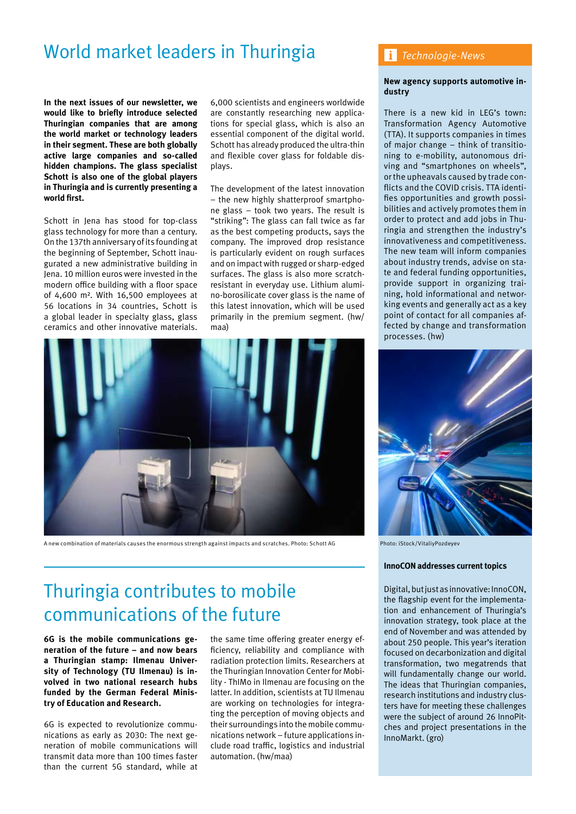# World market leaders in Thuringia

**In the next issues of our newsletter, we would like to briefly introduce selected Thuringian companies that are among the world market or technology leaders in their segment. These are both globally active large companies and so-called hidden champions. The glass specialist Schott is also one of the global players in Thuringia and is currently presenting a world first.**

Schott in Jena has stood for top-class glass technology for more than a century. On the 137th anniversary of its founding at the beginning of September, Schott inaugurated a new administrative building in Jena. 10 million euros were invested in the modern office building with a floor space of 4,600 m². With 16,500 employees at 56 locations in 34 countries, Schott is a global leader in specialty glass, glass ceramics and other innovative materials.

6,000 scientists and engineers worldwide are constantly researching new applications for special glass, which is also an essential component of the digital world. Schott has already produced the ultra-thin and flexible cover glass for foldable displays.

The development of the latest innovation – the new highly shatterproof smartphone glass – took two years. The result is "striking": The glass can fall twice as far as the best competing products, says the company. The improved drop resistance is particularly evident on rough surfaces and on impact with rugged or sharp-edged surfaces. The glass is also more scratchresistant in everyday use. Lithium alumino-borosilicate cover glass is the name of this latest innovation, which will be used primarily in the premium segment. (hw/ maa)



A new combination of materials causes the enormous strength against impacts and scratches. Photo: Schott AG Photo: iStock/VitaliyPozdeyev

# Thuringia contributes to mobile communications of the future

**6G is the mobile communications generation of the future – and now bears a Thuringian stamp: Ilmenau University of Technology (TU Ilmenau) is involved in two national research hubs funded by the German Federal Ministry of Education and Research.**

6G is expected to revolutionize communications as early as 2030: The next generation of mobile communications will transmit data more than 100 times faster than the current 5G standard, while at

the same time offering greater energy efficiency, reliability and compliance with radiation protection limits. Researchers at the Thuringian Innovation Center for Mobility - ThIMo in Ilmenau are focusing on the latter. In addition, scientists at TU Ilmenau are working on technologies for integrating the perception of moving objects and their surroundings into the mobile communications network – future applications include road traffic, logistics and industrial automation. (hw/maa)

## *Technologie-News*

### **New agency supports automotive industry**

There is a new kid in LEG's town: Transformation Agency Automotive (TTA). It supports companies in times of major change – think of transitioning to e-mobility, autonomous driving and "smartphones on wheels", or the upheavals caused by trade conflicts and the COVID crisis. TTA identifies opportunities and growth possibilities and actively promotes them in order to protect and add jobs in Thuringia and strengthen the industry's innovativeness and competitiveness. The new team will inform companies about industry trends, advise on state and federal funding opportunities, provide support in organizing training, hold informational and networking events and generally act as a key point of contact for all companies affected by change and transformation processes. (hw)



#### **InnoCON addresses current topics**

Digital, but just as innovative: InnoCON, the flagship event for the implementation and enhancement of Thuringia's innovation strategy, took place at the end of November and was attended by about 250 people. This year's iteration focused on decarbonization and digital transformation, two megatrends that will fundamentally change our world. The ideas that Thuringian companies, research institutions and industry clusters have for meeting these challenges were the subject of around 26 InnoPitches and project presentations in the InnoMarkt. (gro)